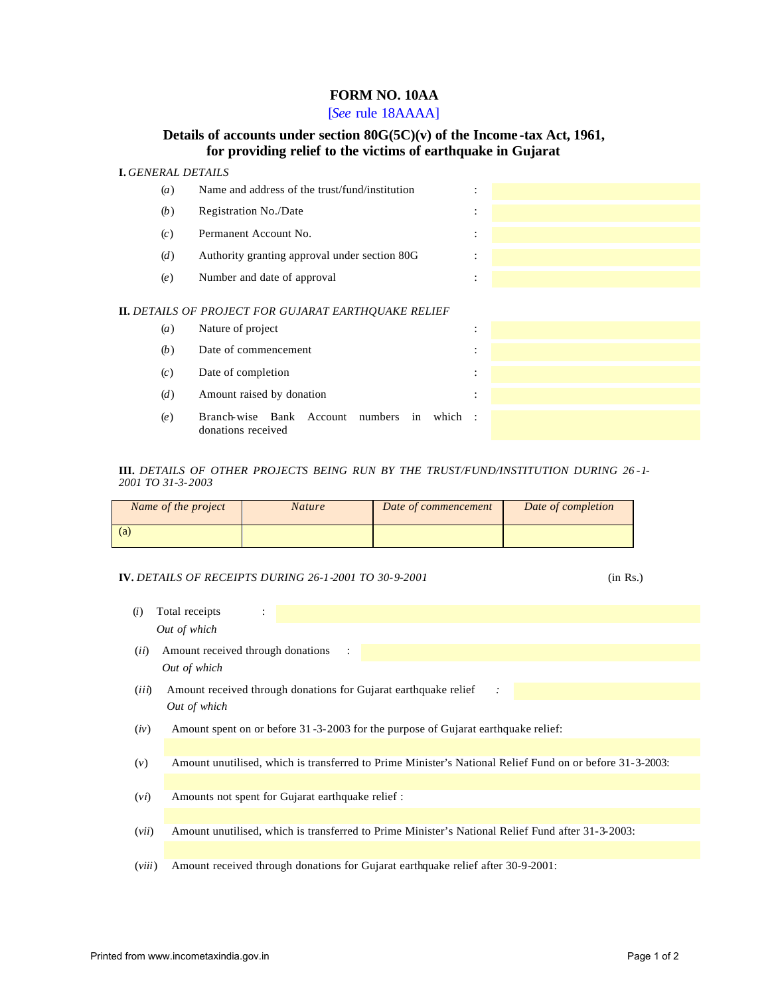# **FORM NO. 10AA**

[*See* rule 18AAAA]

# **Details of accounts under section 80G(5C)(v) of the Income -tax Act, 1961, for providing relief to the victims of earthquake in Gujarat**

## **I.** *GENERAL DETAILS*

|                                                             | (a) | Name and address of the trust/fund/institution                        | $\bullet$                 |  |  |  |  |
|-------------------------------------------------------------|-----|-----------------------------------------------------------------------|---------------------------|--|--|--|--|
|                                                             | (b) | Registration No./Date                                                 | ٠<br>٠                    |  |  |  |  |
|                                                             | (c) | Permanent Account No.                                                 | ٠<br>$\bullet$            |  |  |  |  |
|                                                             | (d) | Authority granting approval under section 80G                         | ٠<br>$\ddot{\phantom{a}}$ |  |  |  |  |
|                                                             | (e) | Number and date of approval                                           | $\vdots$                  |  |  |  |  |
| <b>II.</b> DETAILS OF PROJECT FOR GUJARAT EARTHOUAKE RELIEF |     |                                                                       |                           |  |  |  |  |
|                                                             | (a) | Nature of project                                                     | ٠<br>$\ddot{\phantom{a}}$ |  |  |  |  |
|                                                             | (b) | Date of commencement                                                  | $\ddot{\cdot}$            |  |  |  |  |
|                                                             | (c) | Date of completion                                                    | ٠<br>$\bullet$            |  |  |  |  |
|                                                             | (d) | Amount raised by donation                                             | $\ddot{\cdot}$            |  |  |  |  |
|                                                             | (e) | Branch-wise Bank Account numbers<br>which<br>in<br>donations received | $\sim$ 1.                 |  |  |  |  |

### **III.** *DETAILS OF OTHER PROJECTS BEING RUN BY THE TRUST/FUND/INSTITUTION DURING 26 -1- 2001 TO 31-3-2003*

| Name of the project | <b>Nature</b> | Date of commencement | Date of completion |
|---------------------|---------------|----------------------|--------------------|
| (a)                 |               |                      |                    |

## **IV.** *DETAILS OF RECEIPTS DURING 26-1-2001 TO 30-9-2001* (in Rs.)

| (i)   | Total receipts<br>$\ddot{\cdot}$                                                                         |  |  |  |  |  |  |  |
|-------|----------------------------------------------------------------------------------------------------------|--|--|--|--|--|--|--|
|       | Out of which                                                                                             |  |  |  |  |  |  |  |
| (ii)  | Amount received through donations<br>$\ddot{\cdot}$                                                      |  |  |  |  |  |  |  |
|       | Out of which                                                                                             |  |  |  |  |  |  |  |
| (iii) | Amount received through donations for Gujarat earthquake relief<br>$\cdot$ :                             |  |  |  |  |  |  |  |
|       | Out of which                                                                                             |  |  |  |  |  |  |  |
| (iv)  | Amount spent on or before 31-3-2003 for the purpose of Gujarat earthquake relief:                        |  |  |  |  |  |  |  |
|       |                                                                                                          |  |  |  |  |  |  |  |
| (v)   | Amount unutilised, which is transferred to Prime Minister's National Relief Fund on or before 31-3-2003: |  |  |  |  |  |  |  |
|       |                                                                                                          |  |  |  |  |  |  |  |
| (vi)  | Amounts not spent for Gujarat earthquake relief :                                                        |  |  |  |  |  |  |  |
|       |                                                                                                          |  |  |  |  |  |  |  |
| (vii) | Amount unutilised, which is transferred to Prime Minister's National Relief Fund after 31-3-2003:        |  |  |  |  |  |  |  |
|       |                                                                                                          |  |  |  |  |  |  |  |

(*viii*) Amount received through donations for Gujarat earthquake relief after 30-9-2001: